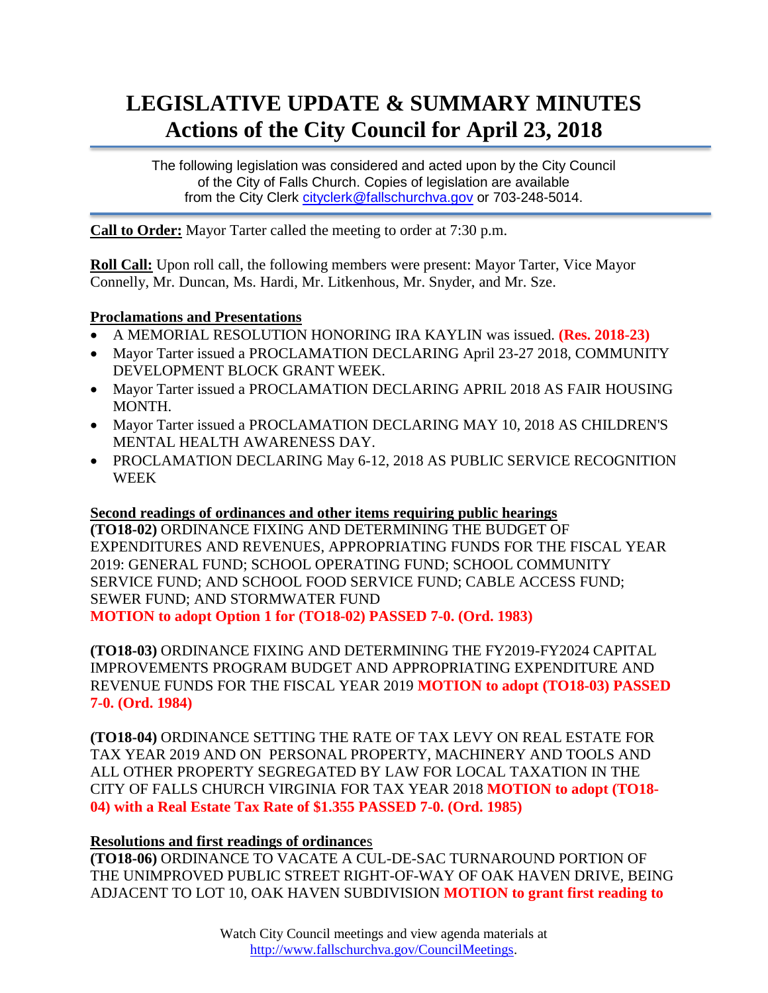# **LEGISLATIVE UPDATE & SUMMARY MINUTES Actions of the City Council for April 23, 2018**

The following legislation was considered and acted upon by the City Council of the City of Falls Church. Copies of legislation are available from the City Clerk [cityclerk@fallschurchva.gov](mailto:cityclerk@fallschurchva.gov) or 703-248-5014.

**Call to Order:** Mayor Tarter called the meeting to order at 7:30 p.m.

**Roll Call:** Upon roll call, the following members were present: Mayor Tarter, Vice Mayor Connelly, Mr. Duncan, Ms. Hardi, Mr. Litkenhous, Mr. Snyder, and Mr. Sze.

#### **Proclamations and Presentations**

- A MEMORIAL RESOLUTION HONORING IRA KAYLIN was issued. **(Res. 2018-23)**
- Mayor Tarter issued a PROCLAMATION DECLARING April 23-27 2018, COMMUNITY DEVELOPMENT BLOCK GRANT WEEK.
- Mayor Tarter issued a PROCLAMATION DECLARING APRIL 2018 AS FAIR HOUSING MONTH.
- Mayor Tarter issued a PROCLAMATION DECLARING MAY 10, 2018 AS CHILDREN'S MENTAL HEALTH AWARENESS DAY.
- PROCLAMATION DECLARING May 6-12, 2018 AS PUBLIC SERVICE RECOGNITION WEEK

# **Second readings of ordinances and other items requiring public hearings**

**(TO18-02)** ORDINANCE FIXING AND DETERMINING THE BUDGET OF EXPENDITURES AND REVENUES, APPROPRIATING FUNDS FOR THE FISCAL YEAR 2019: GENERAL FUND; SCHOOL OPERATING FUND; SCHOOL COMMUNITY SERVICE FUND; AND SCHOOL FOOD SERVICE FUND; CABLE ACCESS FUND; SEWER FUND; AND STORMWATER FUND

**MOTION to adopt Option 1 for (TO18-02) PASSED 7-0. (Ord. 1983)**

**(TO18-03)** ORDINANCE FIXING AND DETERMINING THE FY2019-FY2024 CAPITAL IMPROVEMENTS PROGRAM BUDGET AND APPROPRIATING EXPENDITURE AND REVENUE FUNDS FOR THE FISCAL YEAR 2019 **MOTION to adopt (TO18-03) PASSED 7-0. (Ord. 1984)**

**(TO18-04)** ORDINANCE SETTING THE RATE OF TAX LEVY ON REAL ESTATE FOR TAX YEAR 2019 AND ON PERSONAL PROPERTY, MACHINERY AND TOOLS AND ALL OTHER PROPERTY SEGREGATED BY LAW FOR LOCAL TAXATION IN THE CITY OF FALLS CHURCH VIRGINIA FOR TAX YEAR 2018 **MOTION to adopt (TO18- 04) with a Real Estate Tax Rate of \$1.355 PASSED 7-0. (Ord. 1985)**

# **Resolutions and first readings of ordinance**s

**(TO18-06)** ORDINANCE TO VACATE A CUL-DE-SAC TURNAROUND PORTION OF THE UNIMPROVED PUBLIC STREET RIGHT-OF-WAY OF OAK HAVEN DRIVE, BEING ADJACENT TO LOT 10, OAK HAVEN SUBDIVISION **MOTION to grant first reading to**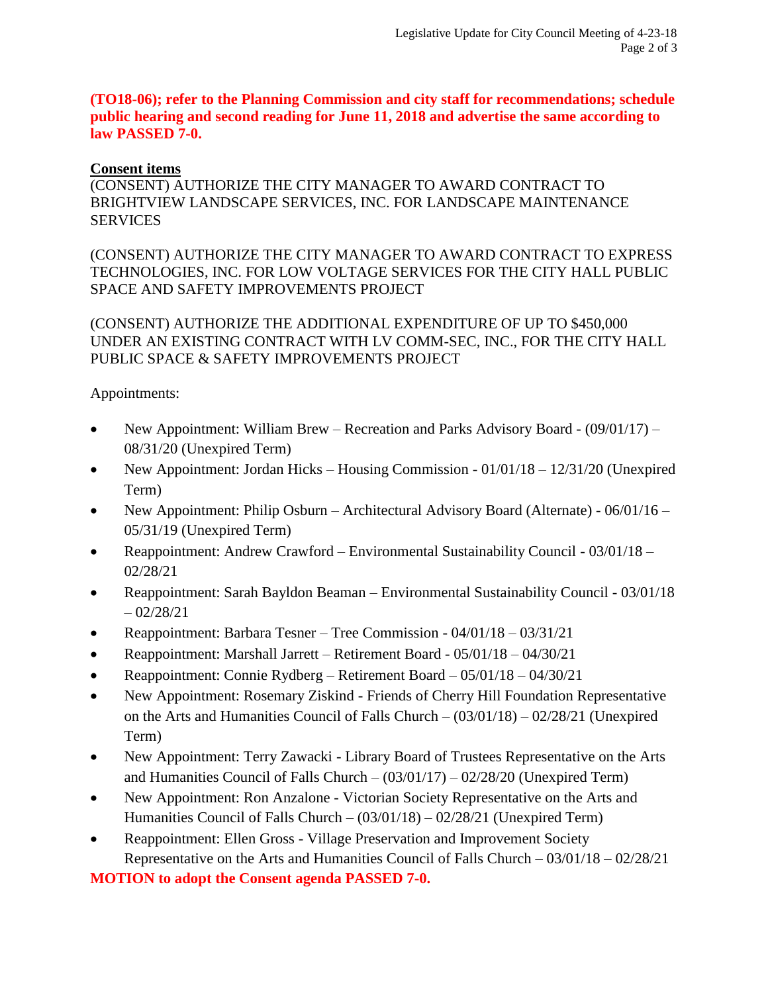**(TO18-06); refer to the Planning Commission and city staff for recommendations; schedule public hearing and second reading for June 11, 2018 and advertise the same according to law PASSED 7-0.** 

#### **Consent items**

(CONSENT) AUTHORIZE THE CITY MANAGER TO AWARD CONTRACT TO BRIGHTVIEW LANDSCAPE SERVICES, INC. FOR LANDSCAPE MAINTENANCE **SERVICES** 

(CONSENT) AUTHORIZE THE CITY MANAGER TO AWARD CONTRACT TO EXPRESS TECHNOLOGIES, INC. FOR LOW VOLTAGE SERVICES FOR THE CITY HALL PUBLIC SPACE AND SAFETY IMPROVEMENTS PROJECT

(CONSENT) AUTHORIZE THE ADDITIONAL EXPENDITURE OF UP TO \$450,000 UNDER AN EXISTING CONTRACT WITH LV COMM-SEC, INC., FOR THE CITY HALL PUBLIC SPACE & SAFETY IMPROVEMENTS PROJECT

Appointments:

- New Appointment: William Brew Recreation and Parks Advisory Board (09/01/17) 08/31/20 (Unexpired Term)
- New Appointment: Jordan Hicks Housing Commission  $01/01/18 12/31/20$  (Unexpired Term)
- New Appointment: Philip Osburn Architectural Advisory Board (Alternate) 06/01/16 05/31/19 (Unexpired Term)
- Reappointment: Andrew Crawford Environmental Sustainability Council 03/01/18 02/28/21
- Reappointment: Sarah Bayldon Beaman Environmental Sustainability Council 03/01/18  $-02/28/21$
- Reappointment: Barbara Tesner Tree Commission 04/01/18 03/31/21
- Reappointment: Marshall Jarrett Retirement Board 05/01/18 04/30/21
- Reappointment: Connie Rydberg Retirement Board 05/01/18 04/30/21
- New Appointment: Rosemary Ziskind Friends of Cherry Hill Foundation Representative on the Arts and Humanities Council of Falls Church – (03/01/18) – 02/28/21 (Unexpired Term)
- New Appointment: Terry Zawacki Library Board of Trustees Representative on the Arts and Humanities Council of Falls Church –  $(03/01/17)$  –  $02/28/20$  (Unexpired Term)
- New Appointment: Ron Anzalone Victorian Society Representative on the Arts and Humanities Council of Falls Church – (03/01/18) – 02/28/21 (Unexpired Term)
- Reappointment: Ellen Gross Village Preservation and Improvement Society Representative on the Arts and Humanities Council of Falls Church – 03/01/18 – 02/28/21

**MOTION to adopt the Consent agenda PASSED 7-0.**